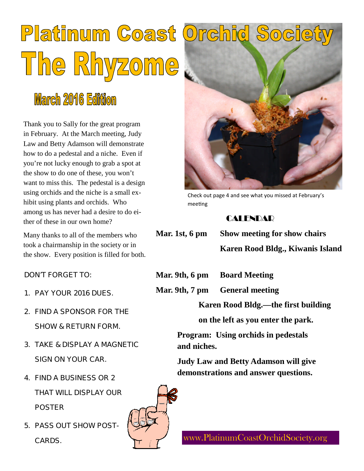# Platinum Coast The Rhyzome

# **March 2016 Edition**

Thank you to Sally for the great program in February. At the March meeting, Judy Law and Betty Adamson will demonstrate how to do a pedestal and a niche. Even if you're not lucky enough to grab a spot at the show to do one of these, you won't want to miss this. The pedestal is a design using orchids and the niche is a small exhibit using plants and orchids. Who among us has never had a desire to do either of these in our own home?

Many thanks to all of the members who took a chairmanship in the society or in the show. Every position is filled for both.

DON'T FORGET TO:

- 1. PAY YOUR 2016 DUES.
- 2. FIND A SPONSOR FOR THE SHOW & RETURN FORM.
- 3. TAKE & DISPLAY A MAGNETIC SIGN ON YOUR CAR.
- 4. FIND A BUSINESS OR 2 THAT WILL DISPLAY OUR POSTER
- 5. PASS OUT SHOW POST-CARDS.



Check out page 4 and see what you missed at February's meeting

## **CALENDAR**

**Mar. 1st, 6 pm Show meeting for show chairs**

**Karen Rood Bldg., Kiwanis Island**

**Mar. 9th, 6 pm Board Meeting**

**Mar. 9th, 7 pm General meeting**

**Karen Rood Bldg.—the first building**

**on the left as you enter the park.**

**Program: Using orchids in pedestals and niches.**

**Judy Law and Betty Adamson will give demonstrations and answer questions.**



www.PlatinumCoastOrchidSociety.org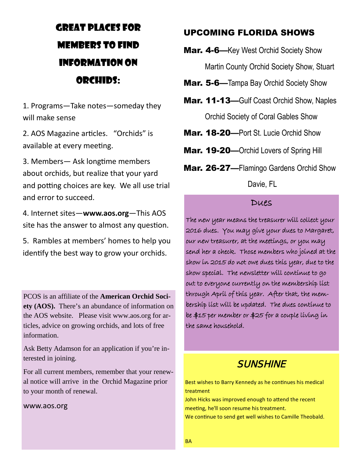## GREAT PLACES FOR MEMBERS TO FIND INFORMATION ON ORCHIDS:

1. Programs—Take notes—someday they will make sense

2. AOS Magazine articles. "Orchids" is available at every meeting.

3. Members— Ask longtime members about orchids, but realize that your yard and potting choices are key. We all use trial and error to succeed.

4. Internet sites—**www.aos.org**—This AOS site has the answer to almost any question.

5. Rambles at members' homes to help you identify the best way to grow your orchids.

PCOS is an affiliate of the **American Orchid Society (AOS).** There's an abundance of information on the AOS website. Please visit www.aos.org for articles, advice on growing orchids, and lots of free information.

Ask Betty Adamson for an application if you're interested in joining.

For all current members, remember that your renewal notice will arrive in the Orchid Magazine prior to your month of renewal.

#### www.aos.org

#### UPCOMING FLORIDA SHOWS

**Mar. 4-6**—Key West Orchid Society Show Martin County Orchid Society Show, Stuart

- Mar. 5-6—Tampa Bay Orchid Society Show
- Mar. 11-13—Gulf Coast Orchid Show, Naples Orchid Society of Coral Gables Show
- Mar. 18-20—Port St. Lucie Orchid Show
- Mar. 19-20—Orchid Lovers of Spring Hill
- Mar. 26-27-Flamingo Gardens Orchid Show

Davie, FL

#### Dues

The new year means the treasurer will collect your 2016 dues. You may give your dues to Margaret, our new treasurer, at the meetings, or you may send her a check. Those members who joined at the show in 2015 do not owe dues this year, due to the show special. The newsletter will continue to go out to everyone currently on the membership list through April of this year. After that, the membership list will be updated. The dues continue to be \$15 per member or \$25 for a couple living in the same household.

## **SUNSHINE**

Best wishes to Barry Kennedy as he continues his medical treatment

John Hicks was improved enough to attend the recent meeting, he'll soon resume his treatment. We continue to send get well wishes to Camille Theobald.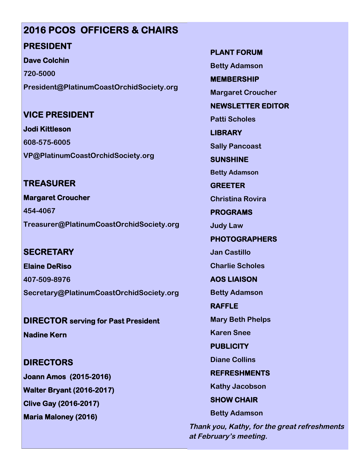## **2016 PCOS OFFICERS & CHAIRS**

## **PRESIDENT**

**Dave Colchin**

**720-5000 President@PlatinumCoastOrchidSociety.org**

## **VICE PRESIDENT**

**Jodi Kittleson 608-575-6005 VP@PlatinumCoastOrchidSociety.org**

## **TREASURER**

**Margaret Croucher 454-4067 Treasurer@PlatinumCoastOrchidSociety.org**

## **SECRETARY**

**Elaine DeRiso 407-509-8976 Secretary@PlatinumCoastOrchidSociety.org**

**DIRECTOR serving for Past President Nadine Kern**

# **DIRECTORS**

**Joann Amos (2015-2016) Walter Bryant (2016-2017) Clive Gay (2016-2017) Maria Maloney (2016)**

**PLANT FORUM**

**Betty Adamson**

**MEMBERSHIP**

**Margaret Croucher**

**NEWSLETTER EDITOR**

**Patti Scholes**

**LIBRARY**

**Sally Pancoast**

**SUNSHINE**

**Betty Adamson**

**GREETER Christina Rovira**

**PROGRAMS**

**Judy Law**

**PHOTOGRAPHERS**

**Jan Castillo**

**Charlie Scholes**

**AOS LIAISON**

**Betty Adamson**

**RAFFLE Mary Beth Phelps**

**Karen Snee**

**PUBLICITY**

**Diane Collins**

**REFRESHMENTS**

**Kathy Jacobson**

**SHOW CHAIR**

**Betty Adamson**

**Thank you, Kathy, for the great refreshments at February's meeting.**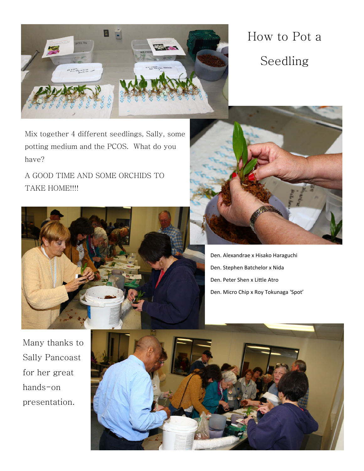

How to Pot a Seedling

Mix together 4 different seedlings, Sally, some potting medium and the PCOS. What do you have?

A GOOD TIME AND SOME ORCHIDS TO TAKE HOME!!!!





Den. Alexandrae x Hisako Haraguchi Den. Stephen Batchelor x Nida Den. Peter Shen x Little Atro Den. Micro Chip x Roy Tokunaga 'Spot'

Many thanks to Sally Pancoast for her great hands-on presentation.